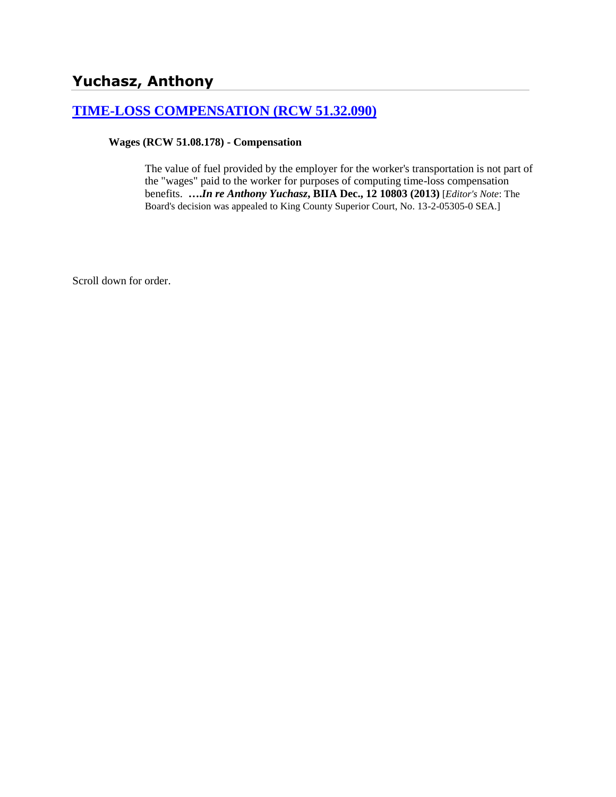### **[TIME-LOSS COMPENSATION \(RCW 51.32.090\)](http://www.biia.wa.gov/SDSubjectIndex.html#TIME_LOSS_COMPENSATION)**

#### **Wages (RCW 51.08.178) - Compensation**

The value of fuel provided by the employer for the worker's transportation is not part of the "wages" paid to the worker for purposes of computing time-loss compensation benefits. **….***In re Anthony Yuchasz***, BIIA Dec., 12 10803 (2013)** [*Editor's Note*: The Board's decision was appealed to King County Superior Court, No. 13-2-05305-0 SEA.]

Scroll down for order.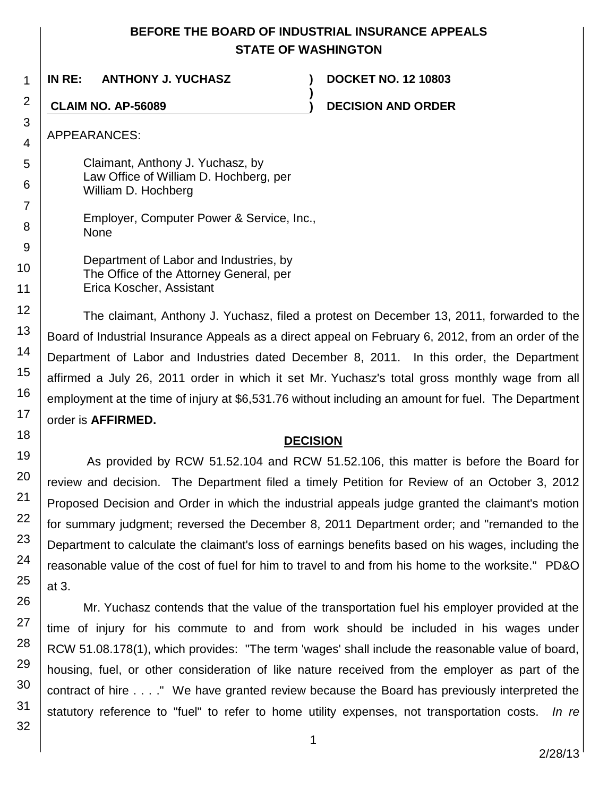# **BEFORE THE BOARD OF INDUSTRIAL INSURANCE APPEALS STATE OF WASHINGTON**

**)**

**IN RE: ANTHONY J. YUCHASZ ) DOCKET NO. 12 10803**

**CLAIM NO. AP-56089 ) DECISION AND ORDER**

APPEARANCES:

1

2

3

4

5 6

7

8

9

10

11

12

13 14

15

16

17

18

19

20

21

22

23

24

25

26

27

28

29

30

31

32

Claimant, Anthony J. Yuchasz, by Law Office of William D. Hochberg, per William D. Hochberg

Employer, Computer Power & Service, Inc., None

Department of Labor and Industries, by The Office of the Attorney General, per Erica Koscher, Assistant

 The claimant, Anthony J. Yuchasz, filed a protest on December 13, 2011, forwarded to the Board of Industrial Insurance Appeals as a direct appeal on February 6, 2012, from an order of the Department of Labor and Industries dated December 8, 2011. In this order, the Department affirmed a July 26, 2011 order in which it set Mr. Yuchasz's total gross monthly wage from all employment at the time of injury at \$6,531.76 without including an amount for fuel. The Department order is **AFFIRMED.** 

# **DECISION**

As provided by RCW 51.52.104 and RCW 51.52.106, this matter is before the Board for review and decision. The Department filed a timely Petition for Review of an October 3, 2012 Proposed Decision and Order in which the industrial appeals judge granted the claimant's motion for summary judgment; reversed the December 8, 2011 Department order; and "remanded to the Department to calculate the claimant's loss of earnings benefits based on his wages, including the reasonable value of the cost of fuel for him to travel to and from his home to the worksite." PD&O at 3.

Mr. Yuchasz contends that the value of the transportation fuel his employer provided at the time of injury for his commute to and from work should be included in his wages under RCW 51.08.178(1), which provides: "The term 'wages' shall include the reasonable value of board, housing, fuel, or other consideration of like nature received from the employer as part of the contract of hire . . . ." We have granted review because the Board has previously interpreted the statutory reference to "fuel" to refer to home utility expenses, not transportation costs. *In re*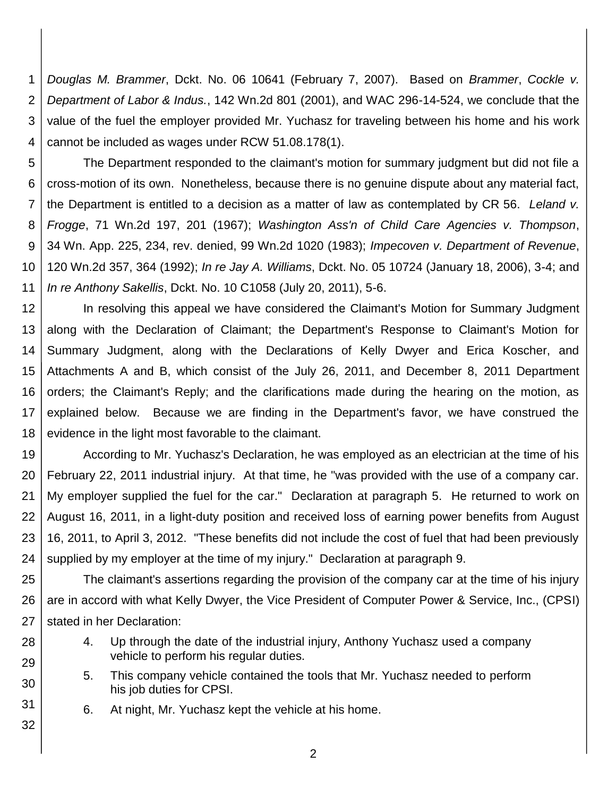1 2 3 4 *Douglas M. Brammer*, Dckt. No. 06 10641 (February 7, 2007). Based on *Brammer*, *Cockle v. Department of Labor & Indus.*, 142 Wn.2d 801 (2001), and WAC 296-14-524, we conclude that the value of the fuel the employer provided Mr. Yuchasz for traveling between his home and his work cannot be included as wages under RCW 51.08.178(1).

5 6 7 8 9 10 11 The Department responded to the claimant's motion for summary judgment but did not file a cross-motion of its own. Nonetheless, because there is no genuine dispute about any material fact, the Department is entitled to a decision as a matter of law as contemplated by CR 56. *Leland v. Frogge*, 71 Wn.2d 197, 201 (1967); *Washington Ass'n of Child Care Agencies v. Thompson*, 34 Wn. App. 225, 234, rev. denied, 99 Wn.2d 1020 (1983); *Impecoven v. Department of Revenue*, 120 Wn.2d 357, 364 (1992); *In re Jay A. Williams*, Dckt. No. 05 10724 (January 18, 2006), 3-4; and *In re Anthony Sakellis*, Dckt. No. 10 C1058 (July 20, 2011), 5-6.

12 13 14 15 16 17 18 In resolving this appeal we have considered the Claimant's Motion for Summary Judgment along with the Declaration of Claimant; the Department's Response to Claimant's Motion for Summary Judgment, along with the Declarations of Kelly Dwyer and Erica Koscher, and Attachments A and B, which consist of the July 26, 2011, and December 8, 2011 Department orders; the Claimant's Reply; and the clarifications made during the hearing on the motion, as explained below. Because we are finding in the Department's favor, we have construed the evidence in the light most favorable to the claimant.

19 20 21 22 23 24 According to Mr. Yuchasz's Declaration, he was employed as an electrician at the time of his February 22, 2011 industrial injury. At that time, he "was provided with the use of a company car. My employer supplied the fuel for the car." Declaration at paragraph 5. He returned to work on August 16, 2011, in a light-duty position and received loss of earning power benefits from August 16, 2011, to April 3, 2012. "These benefits did not include the cost of fuel that had been previously supplied by my employer at the time of my injury." Declaration at paragraph 9.

25 26 27 The claimant's assertions regarding the provision of the company car at the time of his injury are in accord with what Kelly Dwyer, the Vice President of Computer Power & Service, Inc., (CPSI) stated in her Declaration:

- 4. Up through the date of the industrial injury, Anthony Yuchasz used a company vehicle to perform his regular duties.
- 5. This company vehicle contained the tools that Mr. Yuchasz needed to perform his job duties for CPSI.
	- 6. At night, Mr. Yuchasz kept the vehicle at his home.

28

29

30

31

32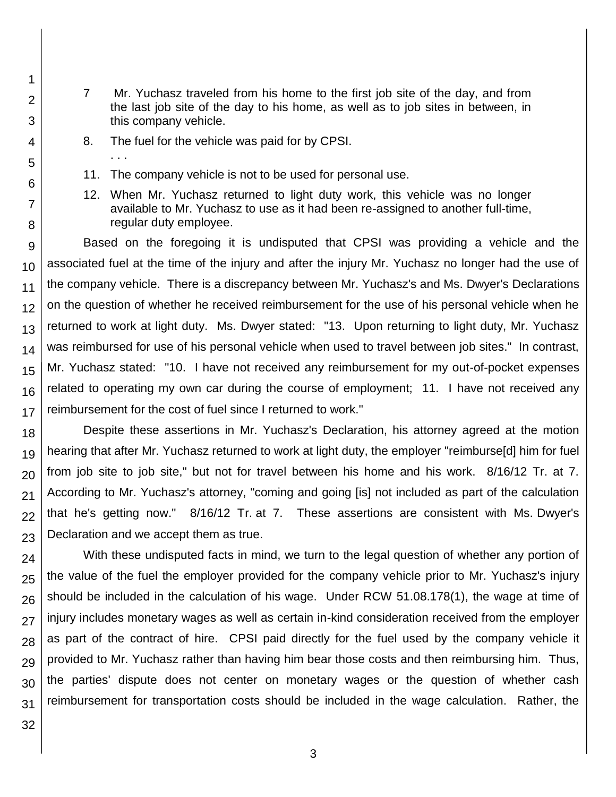- 7 Mr. Yuchasz traveled from his home to the first job site of the day, and from the last job site of the day to his home, as well as to job sites in between, in this company vehicle.
- 8. The fuel for the vehicle was paid for by CPSI.
- 11. The company vehicle is not to be used for personal use.
- 12. When Mr. Yuchasz returned to light duty work, this vehicle was no longer available to Mr. Yuchasz to use as it had been re-assigned to another full-time, regular duty employee.

9 10 11 12 13 14 15 16 17 Based on the foregoing it is undisputed that CPSI was providing a vehicle and the associated fuel at the time of the injury and after the injury Mr. Yuchasz no longer had the use of the company vehicle. There is a discrepancy between Mr. Yuchasz's and Ms. Dwyer's Declarations on the question of whether he received reimbursement for the use of his personal vehicle when he returned to work at light duty. Ms. Dwyer stated: "13. Upon returning to light duty, Mr. Yuchasz was reimbursed for use of his personal vehicle when used to travel between job sites." In contrast, Mr. Yuchasz stated: "10. I have not received any reimbursement for my out-of-pocket expenses related to operating my own car during the course of employment; 11. I have not received any reimbursement for the cost of fuel since I returned to work."

18 19 20 21 22 23 Despite these assertions in Mr. Yuchasz's Declaration, his attorney agreed at the motion hearing that after Mr. Yuchasz returned to work at light duty, the employer "reimburse[d] him for fuel from job site to job site," but not for travel between his home and his work. 8/16/12 Tr. at 7. According to Mr. Yuchasz's attorney, "coming and going [is] not included as part of the calculation that he's getting now." 8/16/12 Tr. at 7. These assertions are consistent with Ms. Dwyer's Declaration and we accept them as true.

24 25 26 27 28 29 30 31 With these undisputed facts in mind, we turn to the legal question of whether any portion of the value of the fuel the employer provided for the company vehicle prior to Mr. Yuchasz's injury should be included in the calculation of his wage. Under RCW 51.08.178(1), the wage at time of injury includes monetary wages as well as certain in-kind consideration received from the employer as part of the contract of hire. CPSI paid directly for the fuel used by the company vehicle it provided to Mr. Yuchasz rather than having him bear those costs and then reimbursing him. Thus, the parties' dispute does not center on monetary wages or the question of whether cash reimbursement for transportation costs should be included in the wage calculation. Rather, the

32

1

2

3

4

5

. . .

6

7

8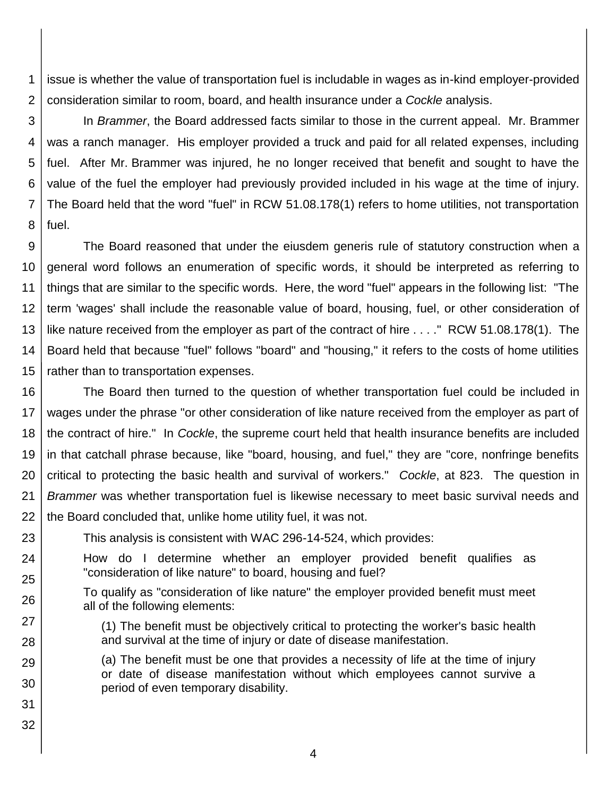1 2 issue is whether the value of transportation fuel is includable in wages as in-kind employer-provided consideration similar to room, board, and health insurance under a *Cockle* analysis.

3 4 5 6 7 8 In *Brammer*, the Board addressed facts similar to those in the current appeal. Mr. Brammer was a ranch manager. His employer provided a truck and paid for all related expenses, including fuel. After Mr. Brammer was injured, he no longer received that benefit and sought to have the value of the fuel the employer had previously provided included in his wage at the time of injury. The Board held that the word "fuel" in RCW 51.08.178(1) refers to home utilities, not transportation fuel.

9 10 11 12 13 14 15 The Board reasoned that under the eiusdem generis rule of statutory construction when a general word follows an enumeration of specific words, it should be interpreted as referring to things that are similar to the specific words. Here, the word "fuel" appears in the following list: "The term 'wages' shall include the reasonable value of board, housing, fuel, or other consideration of like nature received from the employer as part of the contract of hire . . . ." RCW 51.08.178(1). The Board held that because "fuel" follows "board" and "housing," it refers to the costs of home utilities rather than to transportation expenses.

16 17 18 19 20 21 22 The Board then turned to the question of whether transportation fuel could be included in wages under the phrase "or other consideration of like nature received from the employer as part of the contract of hire." In *Cockle*, the supreme court held that health insurance benefits are included in that catchall phrase because, like "board, housing, and fuel," they are "core, nonfringe benefits critical to protecting the basic health and survival of workers." *Cockle*, at 823. The question in *Brammer* was whether transportation fuel is likewise necessary to meet basic survival needs and the Board concluded that, unlike home utility fuel, it was not.

23 This analysis is consistent with WAC 296-14-524, which provides:

How do I determine whether an employer provided benefit qualifies as "consideration of like nature" to board, housing and fuel?

To qualify as "consideration of like nature" the employer provided benefit must meet all of the following elements:

(1) The benefit must be objectively critical to protecting the worker's basic health and survival at the time of injury or date of disease manifestation.

(a) The benefit must be one that provides a necessity of life at the time of injury or date of disease manifestation without which employees cannot survive a period of even temporary disability.

31 32

24

25

26

27

28

29

30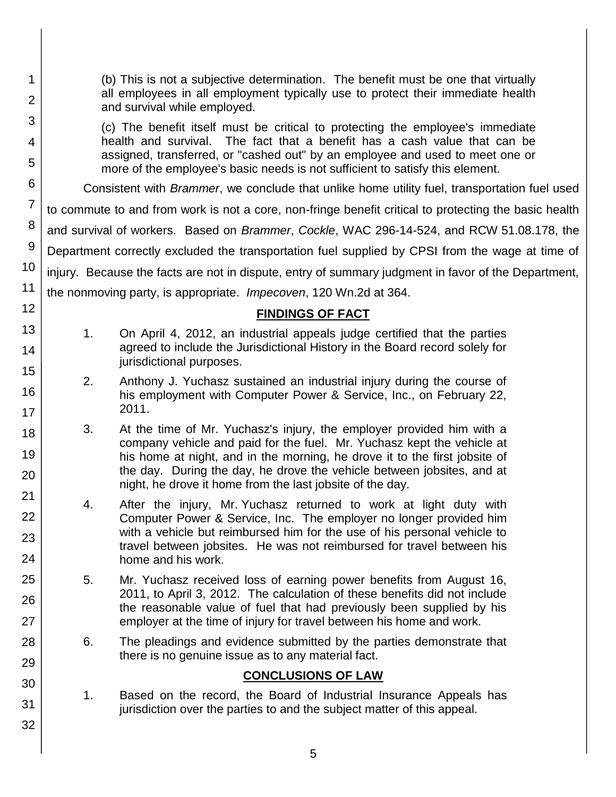| 1<br>$\overline{2}$ |                | (b) This is not a subjective determination. The benefit must be one that virtually<br>all employees in all employment typically use to protect their immediate health<br>and survival while employed. |
|---------------------|----------------|-------------------------------------------------------------------------------------------------------------------------------------------------------------------------------------------------------|
| 3                   |                | (c) The benefit itself must be critical to protecting the employee's immediate                                                                                                                        |
| 4<br>5              |                | health and survival. The fact that a benefit has a cash value that can be<br>assigned, transferred, or "cashed out" by an employee and used to meet one or                                            |
| 6                   |                | more of the employee's basic needs is not sufficient to satisfy this element.                                                                                                                         |
|                     |                | Consistent with <i>Brammer</i> , we conclude that unlike home utility fuel, transportation fuel used                                                                                                  |
| $\overline{7}$      |                | to commute to and from work is not a core, non-fringe benefit critical to protecting the basic health                                                                                                 |
| 8                   |                | and survival of workers. Based on Brammer, Cockle, WAC 296-14-524, and RCW 51.08.178, the                                                                                                             |
| 9                   |                | Department correctly excluded the transportation fuel supplied by CPSI from the wage at time of                                                                                                       |
| 10                  |                | injury. Because the facts are not in dispute, entry of summary judgment in favor of the Department,                                                                                                   |
| 11                  |                | the nonmoving party, is appropriate. <i>Impecoven</i> , 120 Wn.2d at 364.                                                                                                                             |
| 12                  |                | <b>FINDINGS OF FACT</b>                                                                                                                                                                               |
| 13                  | 1 <sub>1</sub> | On April 4, 2012, an industrial appeals judge certified that the parties                                                                                                                              |
| 14                  |                | agreed to include the Jurisdictional History in the Board record solely for                                                                                                                           |
| 15                  |                | jurisdictional purposes.                                                                                                                                                                              |
| 16                  | 2.             | Anthony J. Yuchasz sustained an industrial injury during the course of<br>his employment with Computer Power & Service, Inc., on February 22,                                                         |
| 17                  |                | 2011.                                                                                                                                                                                                 |
| 18                  | 3.             | At the time of Mr. Yuchasz's injury, the employer provided him with a                                                                                                                                 |
| 19                  |                | company vehicle and paid for the fuel. Mr. Yuchasz kept the vehicle at<br>his home at night, and in the morning, he drove it to the first jobsite of                                                  |
| 20                  |                | the day. During the day, he drove the vehicle between jobsites, and at                                                                                                                                |
| 21                  |                | night, he drove it home from the last jobsite of the day.                                                                                                                                             |
| 22                  | 4.             | After the injury, Mr. Yuchasz returned to work at light duty with<br>Computer Power & Service, Inc. The employer no longer provided him                                                               |
| 23                  |                | with a vehicle but reimbursed him for the use of his personal vehicle to                                                                                                                              |
| 24                  |                | travel between jobsites. He was not reimbursed for travel between his<br>home and his work.                                                                                                           |
| 25                  | 5.             |                                                                                                                                                                                                       |
|                     |                | Mr. Yuchasz received loss of earning power benefits from August 16,<br>2011, to April 3, 2012. The calculation of these benefits did not include                                                      |
| 26                  |                | the reasonable value of fuel that had previously been supplied by his                                                                                                                                 |
| 27                  |                | employer at the time of injury for travel between his home and work.                                                                                                                                  |
| 28                  | 6.             | The pleadings and evidence submitted by the parties demonstrate that<br>there is no genuine issue as to any material fact.                                                                            |
| 29                  |                | <b>CONCLUSIONS OF LAW</b>                                                                                                                                                                             |
| 30                  | 1.             | Based on the record, the Board of Industrial Insurance Appeals has                                                                                                                                    |
| 31                  |                | jurisdiction over the parties to and the subject matter of this appeal.                                                                                                                               |
| 32                  |                |                                                                                                                                                                                                       |
|                     |                |                                                                                                                                                                                                       |